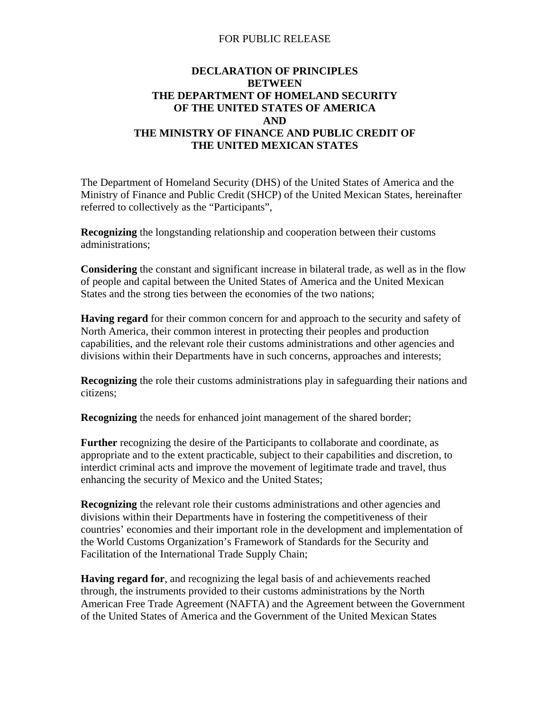#### FOR PUBLIC RELEASE

#### **DECLARATION OF PRINCIPLES THE UNITED MEXICAN STATES BETWEEN THE DEPARTMENT OF HOMELAND SECURITY OF THE UNITED STATES OF AMERICA AND THE MINISTRY OF FINANCE AND PUBLIC CREDIT OF**

The Department of Homeland Security (DHS) of the United States of America and the Ministry of Finance and Public Credit (SHCP) of the United Mexican States, hereinafter referred to collectively as the "Participants",

**Recognizing** the longstanding relationship and cooperation between their customs administrations;

**Considering** the constant and significant increase in bilateral trade, as well as in the flow of people and capital between the United States of America and the United Mexican States and the strong ties between the economies of the two nations;

**Having regard** for their common concern for and approach to the security and safety of North America, their common interest in protecting their peoples and production capabilities, and the relevant role their customs administrations and other agencies and divisions within their Departments have in such concerns, approaches and interests;

**Recognizing** the role their customs administrations play in safeguarding their nations and citizens;

**Recognizing** the needs for enhanced joint management of the shared border;

**Further** recognizing the desire of the Participants to collaborate and coordinate, as appropriate and to the extent practicable, subject to their capabilities and discretion, to interdict criminal acts and improve the movement of legitimate trade and travel, thus enhancing the security of Mexico and the United States;

**Recognizing** the relevant role their customs administrations and other agencies and divisions within their Departments have in fostering the competitiveness of their countries' economies and their important role in the development and implementation of the World Customs Organization's Framework of Standards for the Security and Facilitation of the International Trade Supply Chain;

**Having regard for**, and recognizing the legal basis of and achievements reached through, the instruments provided to their customs administrations by the North American Free Trade Agreement (NAFTA) and the Agreement between the Government of the United States of America and the Government of the United Mexican States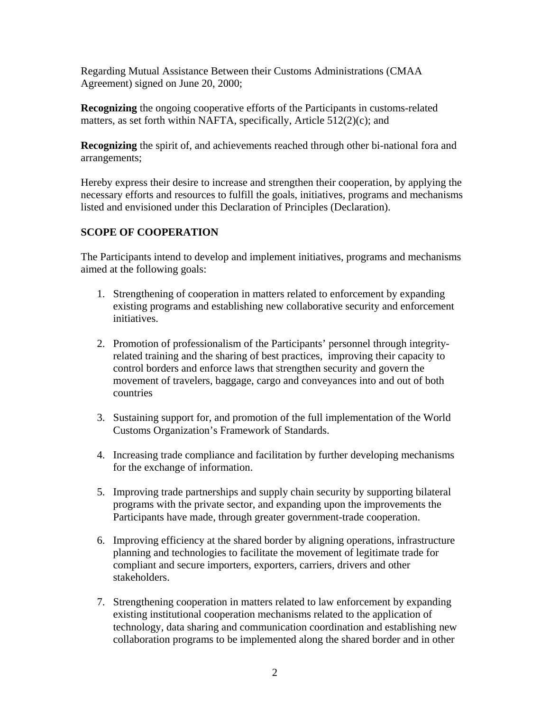Regarding Mutual Assistance Between their Customs Administrations (CMAA Agreement) signed on June 20, 2000;

**Recognizing** the ongoing cooperative efforts of the Participants in customs-related matters, as set forth within NAFTA, specifically, Article 512(2)(c); and

**Recognizing** the spirit of, and achievements reached through other bi-national fora and arrangements;

Hereby express their desire to increase and strengthen their cooperation, by applying the necessary efforts and resources to fulfill the goals, initiatives, programs and mechanisms listed and envisioned under this Declaration of Principles (Declaration).

# **SCOPE OF COOPERATION**

The Participants intend to develop and implement initiatives, programs and mechanisms aimed at the following goals:

- 1. Strengthening of cooperation in matters related to enforcement by expanding existing programs and establishing new collaborative security and enforcement initiatives.
- 2. Promotion of professionalism of the Participants' personnel through integrityrelated training and the sharing of best practices, improving their capacity to control borders and enforce laws that strengthen security and govern the movement of travelers, baggage, cargo and conveyances into and out of both countries
- 3. Sustaining support for, and promotion of the full implementation of the World Customs Organization's Framework of Standards.
- 4. Increasing trade compliance and facilitation by further developing mechanisms for the exchange of information.
- 5. Improving trade partnerships and supply chain security by supporting bilateral programs with the private sector, and expanding upon the improvements the Participants have made, through greater government-trade cooperation.
- 6. Improving efficiency at the shared border by aligning operations, infrastructure planning and technologies to facilitate the movement of legitimate trade for compliant and secure importers, exporters, carriers, drivers and other stakeholders.
- 7. Strengthening cooperation in matters related to law enforcement by expanding existing institutional cooperation mechanisms related to the application of technology, data sharing and communication coordination and establishing new collaboration programs to be implemented along the shared border and in other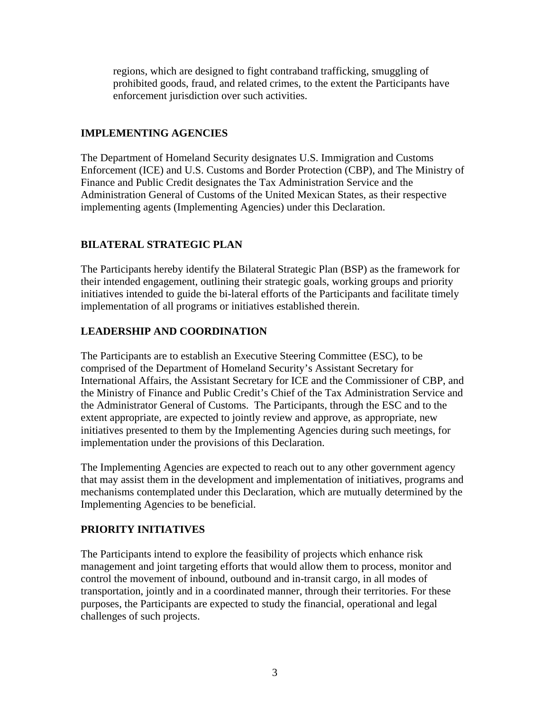regions, which are designed to fight contraband trafficking, smuggling of prohibited goods, fraud, and related crimes, to the extent the Participants have enforcement jurisdiction over such activities.

## **IMPLEMENTING AGENCIES**

The Department of Homeland Security designates U.S. Immigration and Customs Enforcement (ICE) and U.S. Customs and Border Protection (CBP), and The Ministry of Finance and Public Credit designates the Tax Administration Service and the Administration General of Customs of the United Mexican States, as their respective implementing agents (Implementing Agencies) under this Declaration.

## **BILATERAL STRATEGIC PLAN**

The Participants hereby identify the Bilateral Strategic Plan (BSP) as the framework for their intended engagement, outlining their strategic goals, working groups and priority initiatives intended to guide the bi-lateral efforts of the Participants and facilitate timely implementation of all programs or initiatives established therein.

## **LEADERSHIP AND COORDINATION**

The Participants are to establish an Executive Steering Committee (ESC), to be comprised of the Department of Homeland Security's Assistant Secretary for International Affairs, the Assistant Secretary for ICE and the Commissioner of CBP, and the Ministry of Finance and Public Credit's Chief of the Tax Administration Service and the Administrator General of Customs. The Participants, through the ESC and to the extent appropriate, are expected to jointly review and approve, as appropriate, new initiatives presented to them by the Implementing Agencies during such meetings, for implementation under the provisions of this Declaration.

The Implementing Agencies are expected to reach out to any other government agency that may assist them in the development and implementation of initiatives, programs and mechanisms contemplated under this Declaration, which are mutually determined by the Implementing Agencies to be beneficial.

### **PRIORITY INITIATIVES**

The Participants intend to explore the feasibility of projects which enhance risk management and joint targeting efforts that would allow them to process, monitor and control the movement of inbound, outbound and in-transit cargo, in all modes of transportation, jointly and in a coordinated manner, through their territories. For these purposes, the Participants are expected to study the financial, operational and legal challenges of such projects.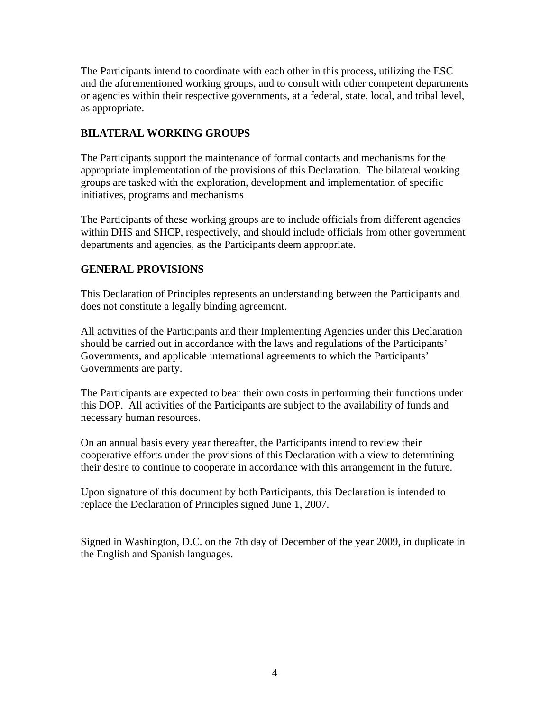The Participants intend to coordinate with each other in this process, utilizing the ESC and the aforementioned working groups, and to consult with other competent departments or agencies within their respective governments, at a federal, state, local, and tribal level, as appropriate.

## **BILATERAL WORKING GROUPS**

The Participants support the maintenance of formal contacts and mechanisms for the appropriate implementation of the provisions of this Declaration. The bilateral working groups are tasked with the exploration, development and implementation of specific initiatives, programs and mechanisms

The Participants of these working groups are to include officials from different agencies within DHS and SHCP, respectively, and should include officials from other government departments and agencies, as the Participants deem appropriate.

### **GENERAL PROVISIONS**

This Declaration of Principles represents an understanding between the Participants and does not constitute a legally binding agreement.

All activities of the Participants and their Implementing Agencies under this Declaration should be carried out in accordance with the laws and regulations of the Participants' Governments, and applicable international agreements to which the Participants' Governments are party.

The Participants are expected to bear their own costs in performing their functions under this DOP. All activities of the Participants are subject to the availability of funds and necessary human resources.

On an annual basis every year thereafter, the Participants intend to review their cooperative efforts under the provisions of this Declaration with a view to determining their desire to continue to cooperate in accordance with this arrangement in the future.

Upon signature of this document by both Participants, this Declaration is intended to replace the Declaration of Principles signed June 1, 2007.

Signed in Washington, D.C. on the 7th day of December of the year 2009, in duplicate in the English and Spanish languages.